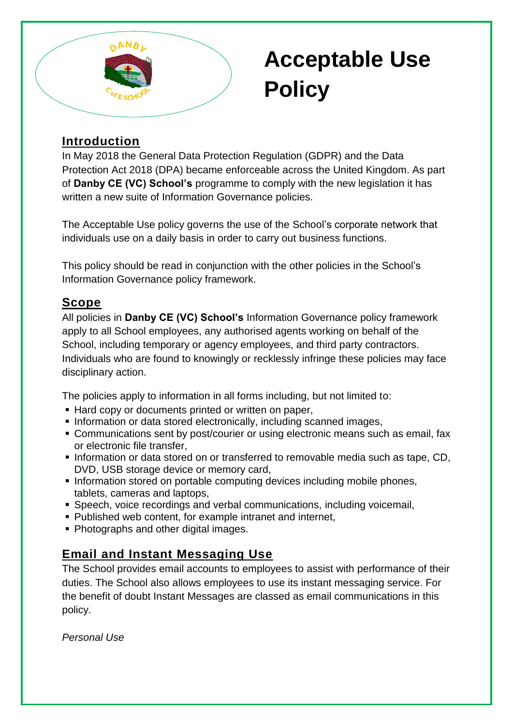

# **Acceptable Use Policy**

# **Introduction**

In May 2018 the General Data Protection Regulation (GDPR) and the Data Protection Act 2018 (DPA) became enforceable across the United Kingdom. As part of **Danby CE (VC) School's** programme to comply with the new legislation it has written a new suite of Information Governance policies.

The Acceptable Use policy governs the use of the School's corporate network that individuals use on a daily basis in order to carry out business functions.

This policy should be read in conjunction with the other policies in the School's Information Governance policy framework.

## **Scope**

All policies in **Danby CE (VC) School's** Information Governance policy framework apply to all School employees, any authorised agents working on behalf of the School, including temporary or agency employees, and third party contractors. Individuals who are found to knowingly or recklessly infringe these policies may face disciplinary action.

The policies apply to information in all forms including, but not limited to:

- Hard copy or documents printed or written on paper,
- **Information or data stored electronically, including scanned images,**
- Communications sent by post/courier or using electronic means such as email, fax or electronic file transfer,
- Information or data stored on or transferred to removable media such as tape, CD, DVD, USB storage device or memory card,
- Information stored on portable computing devices including mobile phones, tablets, cameras and laptops,
- Speech, voice recordings and verbal communications, including voicemail,
- Published web content, for example intranet and internet,
- Photographs and other digital images.

# **Email and Instant Messaging Use**

The School provides email accounts to employees to assist with performance of their duties. The School also allows employees to use its instant messaging service. For the benefit of doubt Instant Messages are classed as email communications in this policy.

*Personal Use*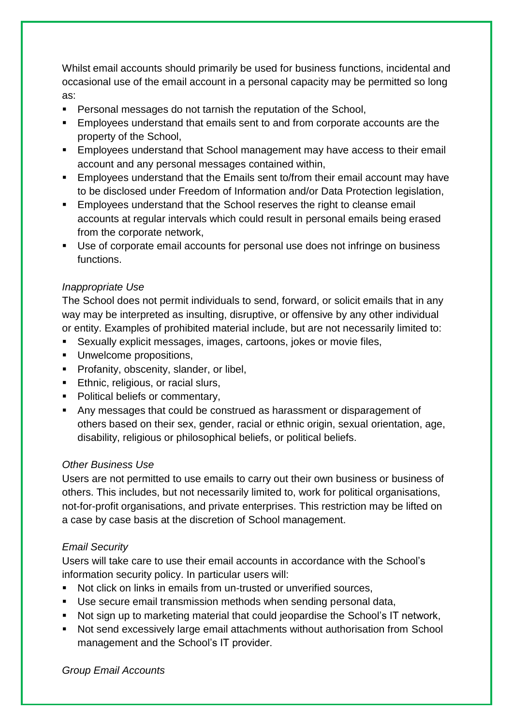Whilst email accounts should primarily be used for business functions, incidental and occasional use of the email account in a personal capacity may be permitted so long as:

- Personal messages do not tarnish the reputation of the School,
- Employees understand that emails sent to and from corporate accounts are the property of the School,
- **Employees understand that School management may have access to their email** account and any personal messages contained within,
- Employees understand that the Emails sent to/from their email account may have to be disclosed under Freedom of Information and/or Data Protection legislation,
- **Employees understand that the School reserves the right to cleanse email** accounts at regular intervals which could result in personal emails being erased from the corporate network,
- Use of corporate email accounts for personal use does not infringe on business functions.

#### *Inappropriate Use*

The School does not permit individuals to send, forward, or solicit emails that in any way may be interpreted as insulting, disruptive, or offensive by any other individual or entity. Examples of prohibited material include, but are not necessarily limited to:

- Sexually explicit messages, images, cartoons, jokes or movie files,
- **Unwelcome propositions.**
- **Profanity, obscenity, slander, or libel,**
- **Ethnic, religious, or racial slurs,**
- Political beliefs or commentary,
- Any messages that could be construed as harassment or disparagement of others based on their sex, gender, racial or ethnic origin, sexual orientation, age, disability, religious or philosophical beliefs, or political beliefs.

#### *Other Business Use*

Users are not permitted to use emails to carry out their own business or business of others. This includes, but not necessarily limited to, work for political organisations, not-for-profit organisations, and private enterprises. This restriction may be lifted on a case by case basis at the discretion of School management.

#### *Email Security*

Users will take care to use their email accounts in accordance with the School's information security policy. In particular users will:

- Not click on links in emails from un-trusted or unverified sources,
- Use secure email transmission methods when sending personal data,
- Not sign up to marketing material that could jeopardise the School's IT network,
- Not send excessively large email attachments without authorisation from School management and the School's IT provider.

*Group Email Accounts*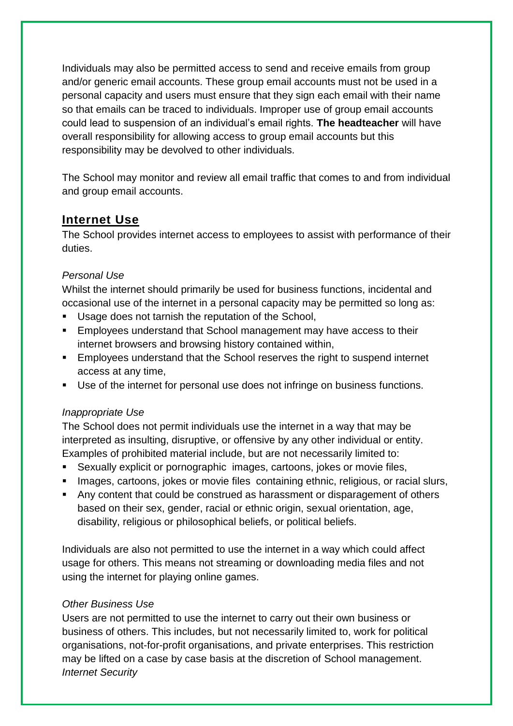Individuals may also be permitted access to send and receive emails from group and/or generic email accounts. These group email accounts must not be used in a personal capacity and users must ensure that they sign each email with their name so that emails can be traced to individuals. Improper use of group email accounts could lead to suspension of an individual's email rights. **The headteacher** will have overall responsibility for allowing access to group email accounts but this responsibility may be devolved to other individuals.

The School may monitor and review all email traffic that comes to and from individual and group email accounts.

## **Internet Use**

The School provides internet access to employees to assist with performance of their duties.

#### *Personal Use*

Whilst the internet should primarily be used for business functions, incidental and occasional use of the internet in a personal capacity may be permitted so long as:

- Usage does not tarnish the reputation of the School,
- **Employees understand that School management may have access to their** internet browsers and browsing history contained within,
- **Employees understand that the School reserves the right to suspend internet** access at any time,
- Use of the internet for personal use does not infringe on business functions.

#### *Inappropriate Use*

The School does not permit individuals use the internet in a way that may be interpreted as insulting, disruptive, or offensive by any other individual or entity. Examples of prohibited material include, but are not necessarily limited to:

- Sexually explicit or pornographic images, cartoons, jokes or movie files,
- **Images, cartoons, jokes or movie files containing ethnic, religious, or racial slurs,**
- Any content that could be construed as harassment or disparagement of others based on their sex, gender, racial or ethnic origin, sexual orientation, age, disability, religious or philosophical beliefs, or political beliefs.

Individuals are also not permitted to use the internet in a way which could affect usage for others. This means not streaming or downloading media files and not using the internet for playing online games.

#### *Other Business Use*

Users are not permitted to use the internet to carry out their own business or business of others. This includes, but not necessarily limited to, work for political organisations, not-for-profit organisations, and private enterprises. This restriction may be lifted on a case by case basis at the discretion of School management. *Internet Security*